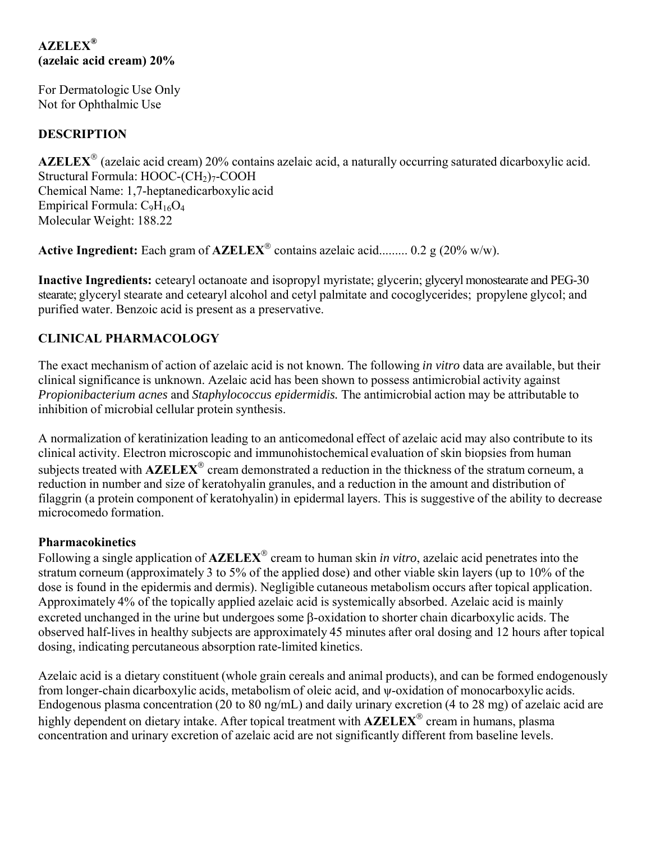# **AZELEX® (azelaic acid cream) 20%**

For Dermatologic Use Only Not for Ophthalmic Use

# **DESCRIPTION**

**AZELEX** (azelaic acid cream) 20% contains azelaic acid, a naturally occurring saturated dicarboxylic acid. Structural Formula: HOOC-(CH<sub>2</sub>)<sub>7</sub>-COOH Chemical Name: 1,7-heptanedicarboxylic acid Empirical Formula:  $C_9H_{16}O_4$ Molecular Weight: 188.22

**Active Ingredient:** Each gram of  $\mathbf{AZELEX}^{\circledcirc}$  contains azelaic acid......... 0.2 g (20% w/w).

**Inactive Ingredients:** cetearyl octanoate and isopropyl myristate; glycerin; glyceryl monostearate and PEG-30 stearate; glyceryl stearate and cetearyl alcohol and cetyl palmitate and cocoglycerides; propylene glycol; and purified water. Benzoic acid is present as a preservative.

# **CLINICAL PHARMACOLOGY**

The exact mechanism of action of azelaic acid is not known. The following *in vitro* data are available, but their clinical significance is unknown. Azelaic acid has been shown to possess antimicrobial activity against *Propionibacterium acnes* and *Staphylococcus epidermidis.* The antimicrobial action may be attributable to inhibition of microbial cellular protein synthesis.

A normalization of keratinization leading to an anticomedonal effect of azelaic acid may also contribute to its clinical activity. Electron microscopic and immunohistochemical evaluation of skin biopsies from human subjects treated with **AZELEX<sup>®</sup> cream demonstrated a reduction in the thickness of the stratum corneum, a** reduction in number and size of keratohyalin granules, and a reduction in the amount and distribution of filaggrin (a protein component of keratohyalin) in epidermal layers. This is suggestive of the ability to decrease microcomedo formation.

# **Pharmacokinetics**

Following a single application of **AZELEX**<sup>®</sup> cream to human skin *in vitro*, azelaic acid penetrates into the stratum corneum (approximately 3 to 5% of the applied dose) and other viable skin layers (up to 10% of the dose is found in the epidermis and dermis). Negligible cutaneous metabolism occurs after topical application. Approximately 4% of the topically applied azelaic acid is systemically absorbed. Azelaic acid is mainly excreted unchanged in the urine but undergoes some  $\beta$ -oxidation to shorter chain dicarboxylic acids. The observed half-lives in healthy subjects are approximately 45 minutes after oral dosing and 12 hours after topical dosing, indicating percutaneous absorption rate-limited kinetics.

Azelaic acid is a dietary constituent (whole grain cereals and animal products), and can be formed endogenously from longer-chain dicarboxylic acids, metabolism of oleic acid, and ψ-oxidation of monocarboxylic acids. Endogenous plasma concentration (20 to 80 ng/mL) and daily urinary excretion (4 to 28 mg) of azelaic acid are highly dependent on dietary intake. After topical treatment with **AZELEX<sup>®</sup> cream in humans, plasma** concentration and urinary excretion of azelaic acid are not significantly different from baseline levels.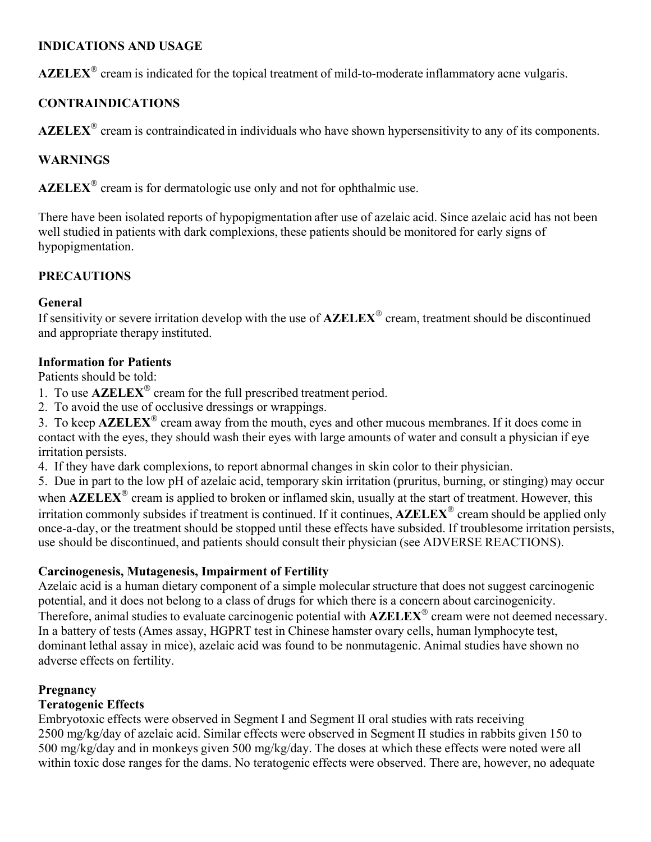### **INDICATIONS AND USAGE**

AZELEX<sup>®</sup> cream is indicated for the topical treatment of mild-to-moderate inflammatory acne vulgaris.

# **CONTRAINDICATIONS**

AZELEX<sup>®</sup> cream is contraindicated in individuals who have shown hypersensitivity to any of its components.

# **WARNINGS**

 $\mathbf{AZELEX}^{\circledR}$  cream is for dermatologic use only and not for ophthalmic use.

There have been isolated reports of hypopigmentation after use of azelaic acid. Since azelaic acid has not been well studied in patients with dark complexions, these patients should be monitored for early signs of hypopigmentation.

# **PRECAUTIONS**

### **General**

If sensitivity or severe irritation develop with the use of **AZELEX<sup>®</sup>** cream, treatment should be discontinued and appropriate therapy instituted.

### **Information for Patients**

Patients should be told:

- 1. To use  $\mathbf{AZELEX}^{\otimes}$  cream for the full prescribed treatment period.
- 2. To avoid the use of occlusive dressings or wrappings.

3. To keep  $AZELEX^{\circ}$  cream away from the mouth, eyes and other mucous membranes. If it does come in contact with the eyes, they should wash their eyes with large amounts of water and consult a physician if eye irritation persists.

4. If they have dark complexions, to report abnormal changes in skin color to their physician.

5. Due in part to the low pH of azelaic acid, temporary skin irritation (pruritus, burning, or stinging) may occur when  $\mathbf{AZELEX}^{\otimes}$  cream is applied to broken or inflamed skin, usually at the start of treatment. However, this irritation commonly subsides if treatment is continued. If it continues, **AZELEX**<sup>®</sup> cream should be applied only once-a-day, or the treatment should be stopped until these effects have subsided. If troublesome irritation persists, use should be discontinued, and patients should consult their physician (see ADVERSE REACTIONS).

#### **Carcinogenesis, Mutagenesis, Impairment of Fertility**

Azelaic acid is a human dietary component of a simple molecular structure that does not suggest carcinogenic potential, and it does not belong to a class of drugs for which there is a concern about carcinogenicity. Therefore, animal studies to evaluate carcinogenic potential with **AZELEX**<sup>®</sup> cream were not deemed necessary. In a battery of tests (Ames assay, HGPRT test in Chinese hamster ovary cells, human lymphocyte test, dominant lethal assay in mice), azelaic acid was found to be nonmutagenic. Animal studies have shown no adverse effects on fertility.

# **Pregnancy**

# **Teratogenic Effects**

Embryotoxic effects were observed in Segment I and Segment II oral studies with rats receiving 2500 mg/kg/day of azelaic acid. Similar effects were observed in Segment II studies in rabbits given 150 to 500 mg/kg/day and in monkeys given 500 mg/kg/day. The doses at which these effects were noted were all within toxic dose ranges for the dams. No teratogenic effects were observed. There are, however, no adequate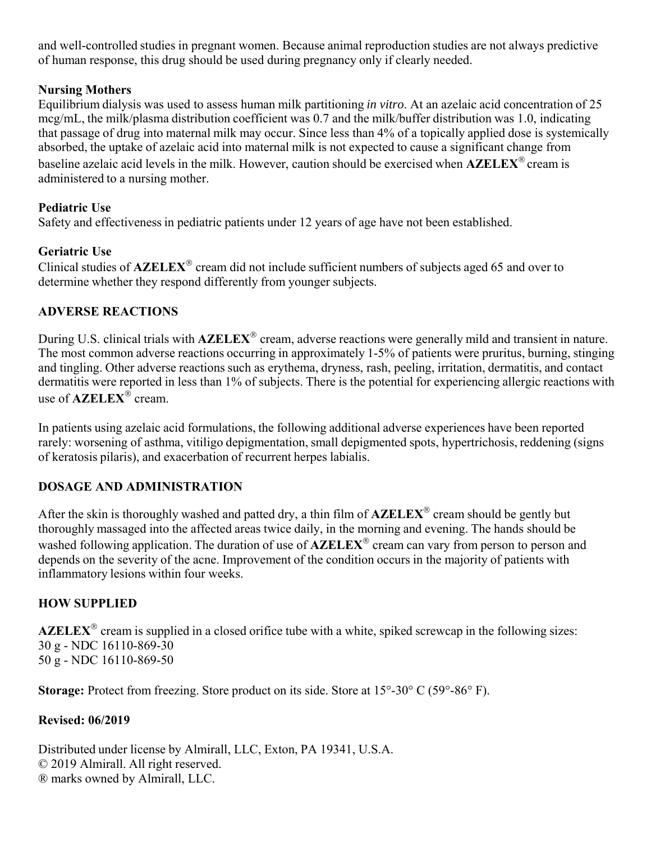and well-controlled studies in pregnant women. Because animal reproduction studies are not always predictive of human response, this drug should be used during pregnancy only if clearly needed.

### **Nursing Mothers**

Equilibrium dialysis was used to assess human milk partitioning *in vitro*. At an azelaic acid concentration of 25 mcg/mL, the milk/plasma distribution coefficient was 0.7 and the milk/buffer distribution was 1.0, indicating that passage of drug into maternal milk may occur. Since less than 4% of a topically applied dose is systemically absorbed, the uptake of azelaic acid into maternal milk is not expected to cause a significant change from baseline azelaic acid levels in the milk. However, caution should be exercised when **AZELEX<sup>®</sup>** cream is administered to a nursing mother.

### **Pediatric Use**

Safety and effectiveness in pediatric patients under 12 years of age have not been established.

### **Geriatric Use**

Clinical studies of AZELEX<sup>®</sup> cream did not include sufficient numbers of subjects aged 65 and over to determine whether they respond differently from younger subjects.

# **ADVERSE REACTIONS**

 dermatitis were reported in less than 1% of subjects. There is the potential for experiencing allergic reactions with During U.S. clinical trials with **AZELEX<sup>®</sup>** cream, adverse reactions were generally mild and transient in nature. The most common adverse reactions occurring in approximately 1-5% of patients were pruritus, burning, stinging and tingling. Other adverse reactions such as erythema, dryness, rash, peeling, irritation, dermatitis, and contact use of **AZELEX<sup>®</sup>** cream.

 of keratosis pilaris), and exacerbation of recurrent herpes labialis. In patients using azelaic acid formulations, the following additional adverse experiences have been reported rarely: worsening of asthma, vitiligo depigmentation, small depigmented spots, hypertrichosis, reddening (signs

# **DOSAGE AND ADMINISTRATION**

After the skin is thoroughly washed and patted dry, a thin film of **AZELEX<sup>®</sup>** cream should be gently but thoroughly massaged into the affected areas twice daily, in the morning and evening. The hands should be washed following application. The duration of use of **AZELEX**<sup>®</sup> cream can vary from person to person and depends on the severity of the acne. Improvement of the condition occurs in the majority of patients with inflammatory lesions within four weeks.

# **HOW SUPPLIED**

 $\mathbf{AZELEX}^{\otimes}$  cream is supplied in a closed orifice tube with a white, spiked screwcap in the following sizes: 30 g - NDC 16110-869-30 50 g - NDC 16110-869-50

**Storage:** Protect from freezing. Store product on its side. Store at 15°-30° C (59°-86° F).

#### **Revised: 06/2019**

Distributed under license by Almirall, LLC, Exton, PA 19341, U.S.A. © 2019 Almirall. All right reserved. ® marks owned by Almirall, LLC.